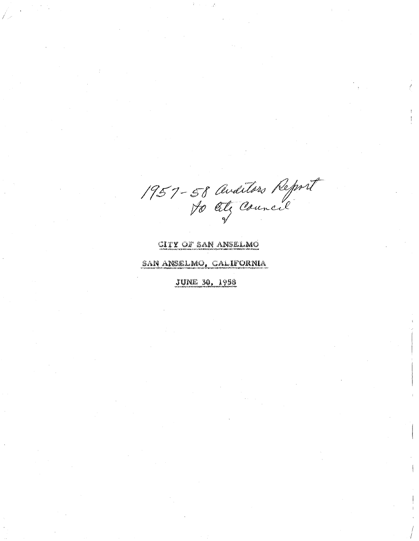1957-58 Auditors Report

## CITY OF SAN ANSELMO

## SAN ANSELMO, CALIFORNIA

**JUNE 30, 1958**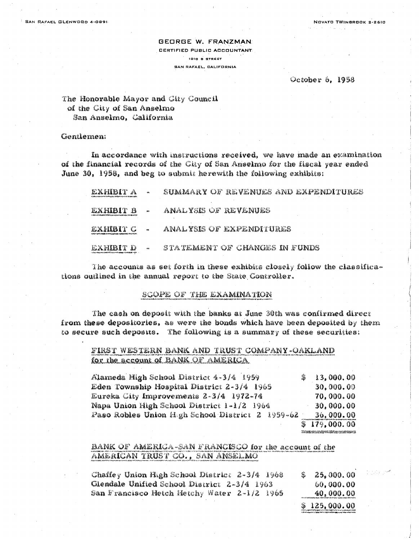**GEORGE W. FRANZMAN CERTIFIED PUBLIC ACCOUNTANT** 1010 B STREET **SAN RAFAEL, CALIFORNIA** 

#### October 6, 1958

The Honorable Mayor and City Council of the City of San Anselmo San Anselmo, California

Gentlement

In accordance with instructions received, we have made an examination of the financial records of the City of San Anselmo for the fiscal year ended June 30, 1958, and beg to submit herewith the following exhibits:

| exhibit a |              | SUMMARY OF REVENUES AND EXPENDITURES |
|-----------|--------------|--------------------------------------|
| EXHIBIT B | $\mathbf{z}$ | ANALYSIS OF REVENUES                 |
| exhibit c |              | ANALYSIS OF EXPENDITURES             |
| EXHIBIT D | ₩₽           | STATEMENT OF CHANGES IN FUNDS        |

The accounts as set forth in these exhibits closely follow the classifications outlined in the annual report to the State Controller.

#### SCOPE OF THE EXAMINATION

The cash on deposit with the banks at June 30th was confirmed direct from these depositories, as were the bonds which have been deposited by them to secure such deposits. The following is a summary of these securities:

FIRST WESTERN BANK AND TRUST COMPANY-OAKLAND for the account of BANK OF AMERICA

| Alameda High School District 4-3/4 1959          | S | 13,000.00                                                                                                         |
|--------------------------------------------------|---|-------------------------------------------------------------------------------------------------------------------|
| Eden Township Hospital District 2-3/4 1969       |   | 30,000.00                                                                                                         |
| Eureka City Improvements 2-3/4 1972-74           |   | 70,000.00                                                                                                         |
| Napa Unìon High School District 1-1/2 1964       |   | 30,000.00                                                                                                         |
| Paso Robles Union H-gh School District 2 1959-62 |   | 36,000.00                                                                                                         |
|                                                  |   | \$179,000.00                                                                                                      |
|                                                  |   | Main international construction of the construction of the Houston of the construction of the construction of the |

#### BANK OF AMERICA-SAN FRANCISCO for the account of the AMERICAN TRUST CO., SAN ANSELMO

| Chaffey Union High School District 2–3/4 1968 |  |  | 25,000.00<br>SS.                                                                     |
|-----------------------------------------------|--|--|--------------------------------------------------------------------------------------|
| Glendale Unified School District 2-3/4 1963   |  |  | 60,000,00                                                                            |
| San Francisco Hetch Hetchy Water 2–1/2 1965   |  |  | 40,000.00<br>should contrast a study from the first team of the company of interior. |

 $$125,000.00$ 

المحصوص والمرادي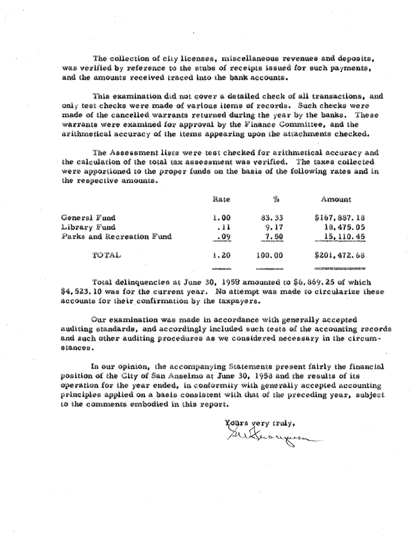The collection of city licenses, miscellaneous revenues and deposits, was verified by reference to the stubs of receipts issued for such payments, and the amounts received traced into the bank accounts.

This examination did not cover a detailed check of all transactions. and only test checks were made of various items of records. Such checks were made of the cancelled warrants returned during the year by the banks. These warrants were examined for approval by the Finance Committee, and the arithmetical accuracy of the items appearing upon the attachments checked.

The Assessment lists were test checked for arithmetical accuracy and the calculation of the total tax assessment was verified. The taxes collected were apportioned to the proper funds on the basis of the following rates and in the respective amounts.

|                           | Rate                           | 鷚                                      | Amount                          |
|---------------------------|--------------------------------|----------------------------------------|---------------------------------|
| General Fund              | 1.00                           | 33.33                                  | \$167,887.18                    |
| Library Fund              | . 11                           | 9.17                                   | 10.475.05                       |
| Parks and Recreation Fund | . 09<br>شعار الخاصات المائية و | 7.50<br>enirai den la bidrima          | 15, 110, 45                     |
| TOTAL                     | 1.20                           | 100.00                                 | \$201,472.68                    |
|                           | <b>JARNADARKTONY</b>           | <b>Se style procedurated a control</b> | THE STRAKE LEADER AND LOCAL CAR |

Total delinquencies at June 30, 1958 amounted to \$6,869,25 of which \$4,523.10 was for the current year. No attempt was made to circularize these accounts for their confirmation by the taxpayers.

Our examination was made in accordance with generally accepted auditing standards, and accordingly included such tests of the accounting records and such other auditing procedures as we considered necessary in the circumstances.

In our opinion, the accompanying Statements present fairly the financial position of the City of San Anselmo at June 30, 1958 and the results of its operation for the year ended, in conformity with generally accepted accounting principles applied on a basis consistent with that of the preceding year, subject to the comments embodied in this report.

Tours vory truly,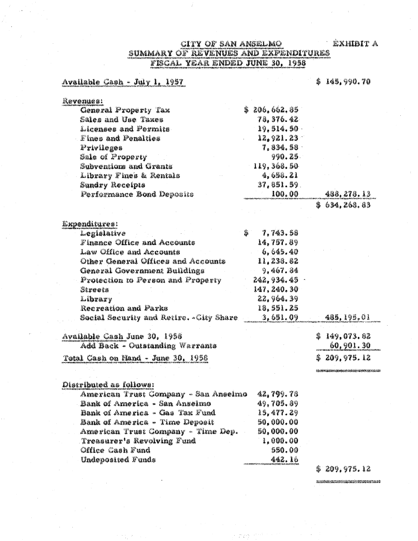# SUMMARY OF REVENUES AND EXPENDITURES<br>FISCAL YEAR ENDED JUNE 30, 1958

## Available Cash - July 1, 1957

Undeposited Funds

### \$145,990.70

| aevonues:                               |               |              |
|-----------------------------------------|---------------|--------------|
| General Property Tax                    | \$ 206,662.85 |              |
| Sales and Use Taxes                     | 78.376.42     |              |
| Licenses and Formits.                   | 19, 514, 50 - |              |
| Fines and Fenalties                     | 12, 921. 23   |              |
| Privileges                              | 7, 834, 58 ·  |              |
| Sale of Property                        | 990.25.       |              |
| Subventions and Grants                  | 119, 368, 50  |              |
| Library Fines & Rentals                 | 4,698.21      |              |
| Sundry Receipts                         | 37, 851.59.   |              |
| Perfermance Bond Deposits               | 100.00        | 488, 278.13  |
|                                         |               | \$634,268.83 |
|                                         |               |              |
| Expenditures:                           |               |              |
| Legislative                             | 7,743.58<br>逾 |              |
| Finance Office and Accounts             | 14,757.89     |              |
| Law Office and Accounts                 | 6,645.40      |              |
| Other General Offices and Accounts      | 11, 238. 82   |              |
| General Government Buildings            | 9,467.84      |              |
| Protection to Person and Property       | 242, 934. 45  |              |
| Streets                                 | 147, 240, 30  |              |
| Library                                 | 22, 964. 39   |              |
| Recreation and Parks                    | 18. 551. 25   |              |
| Social Security and Retire. «City Share | 3,651.09      | 465, 195, 01 |
| Available Cash June 30, 1958            |               | \$149.073.82 |
| Add Back - Outstanding Warrants         |               | 60,901.30    |
| Total Cash on Hand - June 30, 1958      |               | \$209,975.12 |
|                                         |               |              |
| Distributed as follows:                 |               |              |
| American Trust Gompany - San Anseimo    | 42,799.78     |              |
| Bank of America - San Anselmo           | 49.705.89     |              |
| Bank of America - Gas Tax Fund          | 19, 477.29    |              |
| Bank of America - Time Deposit          | 50,000.00     |              |
| American Trust Company - Time Dep.      | 50,000.00     |              |
| Treasurer's Revolving Fund              | 1,000.00      |              |
| Office Cash Fund                        | 560.00        |              |

### \$209,975.12

442.16

.<br>The second delight in the companion of the second control of the second state of the second second state of th<br>- Second state of the second second state of the second second second second second second second second.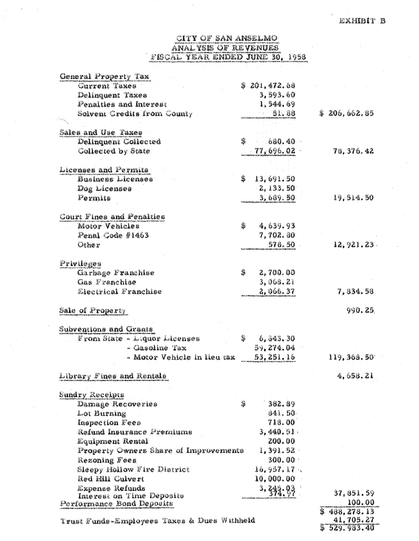# CITY OF SAN ANGELAIO ANAL YSIS OF REVENUES FISCAL YEAR ENDED JUNE 30, 1958

| General Property Tax                         |                 |                 |
|----------------------------------------------|-----------------|-----------------|
| Current Taxes                                | \$ 201,472.68   |                 |
| Delinquent Taxes                             | 3, 593, 60      |                 |
| Fenalties and Interest                       | 1.544.69        |                 |
| Solvent Gredits from County                  | 91.88           | \$ 206,662.85   |
|                                              |                 |                 |
| Sales and Use Taxes                          |                 |                 |
| Delinquent Collected                         | 騫<br>660.40     |                 |
| Collected by State                           | $-77,696,02$    | 78, 376, 42     |
|                                              |                 |                 |
| Licenses and Permits                         |                 |                 |
| Dusiness Licenses                            | 13,691.50<br>窸  |                 |
| Dog Licenses                                 | 2,133.50        |                 |
| Permits                                      | 3,669.50        | 19.514.50       |
| Court Fines and Penalties                    |                 |                 |
| Motor Vehicles                               | 4,639.93<br>蠡   |                 |
| Penal Code #1463                             | 7.702.80        |                 |
| Other                                        | 578.50          | 12.921.23.      |
|                                              |                 |                 |
| Privileges                                   |                 |                 |
| Garbage Franchise                            | \$<br>2,700.00  |                 |
| Gas Frenchise                                | 3,068.21        |                 |
| Electrical Franchise                         | 2,066.37        | 7,334,58        |
|                                              |                 |                 |
| Sale of Property                             |                 | 990.25          |
| Subventions and Grants                       |                 |                 |
| From Slate - Liquor Liteenses                | 翳<br>6, 843, 30 |                 |
| - Gasoline Tax                               | 59.274.04       |                 |
| – Motor Vehicle in lieu taz                  | 53, 251, 16     | 119, 368.50     |
| Library Fines and Rentals                    |                 | 4,658.21        |
|                                              |                 |                 |
| Sundry Receipes                              |                 |                 |
| Damage Recoveries                            | 齹<br>382.89     |                 |
| Lot Burning                                  | 841.50          |                 |
| Inspection Fees                              | 713.00          |                 |
| Refund Insurance Premiums                    | 3, 440. 51      |                 |
| Equipment Rental                             | 200.00          |                 |
| Property Owners Share of Improvements        | $1, 391, 92$ .  |                 |
| Rezoning Fees                                | 300.00          |                 |
| Sleepy Hollow Fire District                  | 16,957,17.      |                 |
| Red Hill Culvert                             | 10,000.00       |                 |
| Expense Refunds<br>Interest on Time Deposits | 3.393,93        | 37, 851, 59     |
| Performance Bond Deposits                    |                 | 100.00          |
|                                              |                 | \$408,278.13    |
| Trust Funds-Employees Taxes & Ducs Withheld  |                 | 41,705.27       |
|                                              |                 | \$~529. 993. 40 |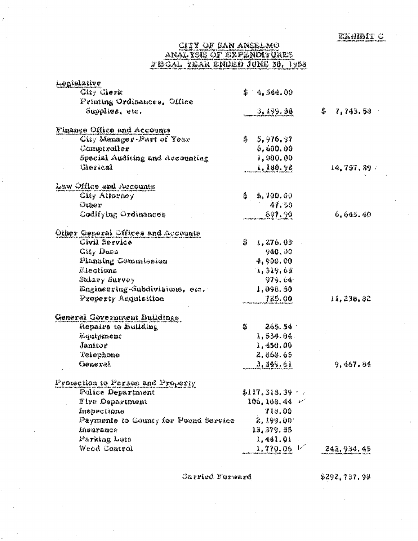# **CITY OF SAN ANSELMO** ANALYSIS OF EXPENDITURES<br>FISCAL YEAR ENDED JUNE 30, 1958

| Legislative                          |                   |               |
|--------------------------------------|-------------------|---------------|
| City Clerk                           | 當<br>4,544.00     |               |
| Printing Ordinances, Office          |                   |               |
| Supplies, etc.                       | 3,199.53          | 暮<br>7,743.58 |
| Finance Office and Accounts          |                   |               |
| City Manager-Part of Year            | 藩<br>5,976.97     |               |
| Comptroller                          | 6,600.00          |               |
| Special Auditing and Accounting      | 1,000.00          |               |
| Clerical                             | 1,100.92          | 14,757.89     |
| Law Office and Accounts              |                   |               |
| <b>City Attorney</b>                 | 雟<br>5,700.00     |               |
| Other                                | 47.50             |               |
| Codifying Ordinances                 | 397.90            | 6.645.40      |
| Other General Offices and Accounts   |                   |               |
| Civil Service                        | 蠹<br>1,276.03     |               |
| <b>City Dues</b>                     | 940.00            |               |
| Planning Commission                  | 4,900.00          |               |
| Llections                            | 1,319,65          |               |
| Salary Survey                        | 979.64            |               |
| Engineering-Subdivisions, etc.       | 1,098.50          |               |
| Property Acquisition                 | 725.00            | 11,238.82     |
| General Government Buildings         |                   |               |
| Repairs to Building                  | 巢<br>265.54       |               |
| Lquipment                            | 1,534.04          |               |
| Janitor                              | 1,450.00          |               |
| Telephone                            | 2,868.65          |               |
| General                              | 3, 349.61         | 9,467.84      |
| Protection to Person and Property    |                   |               |
| Police Department                    | $$117,318,39$ $-$ |               |
| Fire Department                      | 106, 108. 44 ~    |               |
| Inspections                          | 718.00            |               |
| Payments to County for Pound Service | 2,199.00.         |               |
| Insurance                            | 13, 379. 55       |               |
| Parking Lote                         | 1,441.01          |               |
| Weed Control                         | 1,770.06          | 242, 934. 45  |

Garried Farward

\$292,787.98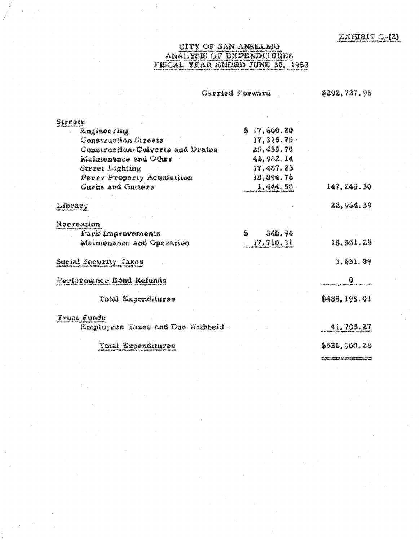# CITY OF SAN ANSELMO<br>ANALYSIS OF EXPENDITURES<br>FISCAL YEAR ENDED JUNE 30, 1958

|                                    | <i>Carried Forward</i> | \$292,787.98  |
|------------------------------------|------------------------|---------------|
|                                    |                        |               |
| Streets                            |                        |               |
| <b>Engineering</b>                 | 17,660.20<br>鉴         |               |
| Construction Streets               | $17, 315, 75$ .        |               |
| Construction-Culverts and Drains   | 25, 455, 70            |               |
| Maintenance and Other              | 48, 982. 14            |               |
| Street Lighting                    | 17,437.25              |               |
| Perry Property Acquisition         | 18.894.76              |               |
| Curbs and Gutters                  | 1,444.50               | 147, 240, 30  |
|                                    |                        |               |
| Library                            |                        | 22.964.39     |
|                                    |                        |               |
| Rocreation                         |                        |               |
| Fark Improvements                  | 840.94<br>翡            |               |
| Maintenance and Operation          | 17, 710, 31            | 18.551.25     |
| Gocial Security Taxes              |                        | 3,651.09      |
| Ferformance Bond Refunds           |                        | Ø             |
| Total Mxpenditures                 |                        | \$489, 195.01 |
| Trust Funds                        |                        |               |
| Employees Taxes and Due Withheld . |                        | 41,705,27     |
| Total Expenditures                 |                        | \$526,900.26  |
|                                    |                        |               |